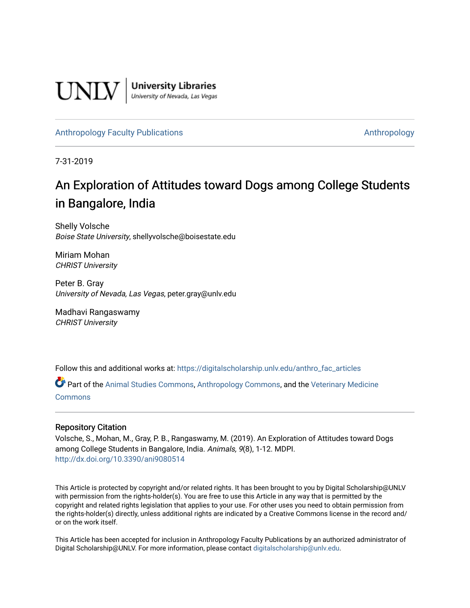

**University Libraries**<br>University of Nevada, Las Vegas

## [Anthropology Faculty Publications](https://digitalscholarship.unlv.edu/anthro_fac_articles) **Anthropology Anthropology**

7-31-2019

# An Exploration of Attitudes toward Dogs among College Students in Bangalore, India

Shelly Volsche Boise State University, shellyvolsche@boisestate.edu

Miriam Mohan CHRIST University

Peter B. Gray University of Nevada, Las Vegas, peter.gray@unlv.edu

Madhavi Rangaswamy CHRIST University

Follow this and additional works at: [https://digitalscholarship.unlv.edu/anthro\\_fac\\_articles](https://digitalscholarship.unlv.edu/anthro_fac_articles?utm_source=digitalscholarship.unlv.edu%2Fanthro_fac_articles%2F521&utm_medium=PDF&utm_campaign=PDFCoverPages)

Part of the [Animal Studies Commons,](http://network.bepress.com/hgg/discipline/1306?utm_source=digitalscholarship.unlv.edu%2Fanthro_fac_articles%2F521&utm_medium=PDF&utm_campaign=PDFCoverPages) [Anthropology Commons](http://network.bepress.com/hgg/discipline/318?utm_source=digitalscholarship.unlv.edu%2Fanthro_fac_articles%2F521&utm_medium=PDF&utm_campaign=PDFCoverPages), and the [Veterinary Medicine](http://network.bepress.com/hgg/discipline/760?utm_source=digitalscholarship.unlv.edu%2Fanthro_fac_articles%2F521&utm_medium=PDF&utm_campaign=PDFCoverPages) [Commons](http://network.bepress.com/hgg/discipline/760?utm_source=digitalscholarship.unlv.edu%2Fanthro_fac_articles%2F521&utm_medium=PDF&utm_campaign=PDFCoverPages)

## Repository Citation

Volsche, S., Mohan, M., Gray, P. B., Rangaswamy, M. (2019). An Exploration of Attitudes toward Dogs among College Students in Bangalore, India. Animals, 9(8), 1-12. MDPI. <http://dx.doi.org/10.3390/ani9080514>

This Article is protected by copyright and/or related rights. It has been brought to you by Digital Scholarship@UNLV with permission from the rights-holder(s). You are free to use this Article in any way that is permitted by the copyright and related rights legislation that applies to your use. For other uses you need to obtain permission from the rights-holder(s) directly, unless additional rights are indicated by a Creative Commons license in the record and/ or on the work itself.

This Article has been accepted for inclusion in Anthropology Faculty Publications by an authorized administrator of Digital Scholarship@UNLV. For more information, please contact [digitalscholarship@unlv.edu](mailto:digitalscholarship@unlv.edu).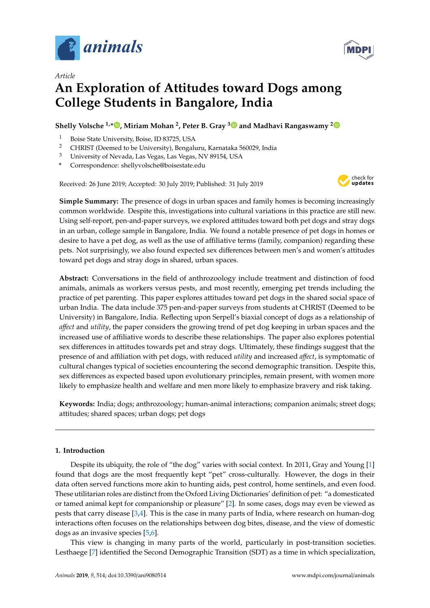

*Article*



# **An Exploration of Attitudes toward Dogs among College Students in Bangalore, India**

**Shelly Volsche 1,[\\*](https://orcid.org/0000-0002-0549-1318) , Miriam Mohan <sup>2</sup> , Peter B. Gray [3](https://orcid.org/0000-0003-1774-2468) and Madhavi Rangaswamy [2](https://orcid.org/0000-0002-6140-889X)**

- <sup>1</sup> Boise State University, Boise, ID 83725, USA<br><sup>2</sup> CHPIST (Deemed to be University), Boncal
- <sup>2</sup> CHRIST (Deemed to be University), Bengaluru, Karnataka 560029, India
- <sup>3</sup> University of Nevada, Las Vegas, Las Vegas, NV 89154, USA
- **\*** Correspondence: shellyvolsche@boisestate.edu

Received: 26 June 2019; Accepted: 30 July 2019; Published: 31 July 2019



**Simple Summary:** The presence of dogs in urban spaces and family homes is becoming increasingly common worldwide. Despite this, investigations into cultural variations in this practice are still new. Using self-report, pen-and-paper surveys, we explored attitudes toward both pet dogs and stray dogs in an urban, college sample in Bangalore, India. We found a notable presence of pet dogs in homes or desire to have a pet dog, as well as the use of affiliative terms (family, companion) regarding these pets. Not surprisingly, we also found expected sex differences between men's and women's attitudes toward pet dogs and stray dogs in shared, urban spaces.

**Abstract:** Conversations in the field of anthrozoology include treatment and distinction of food animals, animals as workers versus pests, and most recently, emerging pet trends including the practice of pet parenting. This paper explores attitudes toward pet dogs in the shared social space of urban India. The data include 375 pen-and-paper surveys from students at CHRIST (Deemed to be University) in Bangalore, India. Reflecting upon Serpell's biaxial concept of dogs as a relationship of *a*ff*ect* and *utility*, the paper considers the growing trend of pet dog keeping in urban spaces and the increased use of affiliative words to describe these relationships. The paper also explores potential sex differences in attitudes towards pet and stray dogs. Ultimately, these findings suggest that the presence of and affiliation with pet dogs, with reduced *utility* and increased *a*ff*ect*, is symptomatic of cultural changes typical of societies encountering the second demographic transition. Despite this, sex differences as expected based upon evolutionary principles, remain present, with women more likely to emphasize health and welfare and men more likely to emphasize bravery and risk taking.

**Keywords:** India; dogs; anthrozoology; human-animal interactions; companion animals; street dogs; attitudes; shared spaces; urban dogs; pet dogs

### **1. Introduction**

Despite its ubiquity, the role of "the dog" varies with social context. In 2011, Gray and Young [\[1\]](#page-11-0) found that dogs are the most frequently kept "pet" cross-culturally. However, the dogs in their data often served functions more akin to hunting aids, pest control, home sentinels, and even food. These utilitarian roles are distinct from the Oxford Living Dictionaries' definition of pet: "a domesticated or tamed animal kept for companionship or pleasure" [\[2\]](#page-11-1). In some cases, dogs may even be viewed as pests that carry disease [\[3](#page-11-2)[,4\]](#page-11-3). This is the case in many parts of India, where research on human-dog interactions often focuses on the relationships between dog bites, disease, and the view of domestic dogs as an invasive species [\[5,](#page-11-4)[6\]](#page-11-5).

This view is changing in many parts of the world, particularly in post-transition societies. Lesthaege [\[7\]](#page-11-6) identified the Second Demographic Transition (SDT) as a time in which specialization,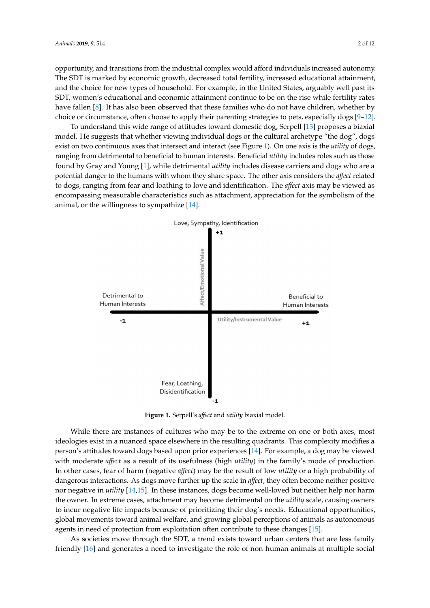opportunity, and transitions from the industrial complex would afford individuals increased autonomy. opportunity, and transitions from the industrial complex would afford individuals increased The SDT is marked by economic growth, decreased total fertility, increased educational attainment,<br>and the choice for the United States, arguably contributed States, and the United States, and United States, a and the choice for new types of household. For example, in the United States, arguably well past its and the rise while while while while while while while while while while while while while while while while while while SDT, women's educational and economic attainment continue to be on the rise while fertility rates have families who do not have children families who do not have children, and the children, and the children, and the childr have fallen [\[8\]](#page-11-7). It has also been observed that these families who do not have children, whether by<br>whether by choice or contrategies to personally their parents of apply their parents of apply their part of ap choice or circumstance, often choose to apply their parenting strategies to pets, especially dogs [\[9–](#page-11-8)[12\]](#page-11-9). apportantly, and translations from the marked at complex would allow mary radius increased translation.

To understand this wide range of attitudes toward domestic dog, Serpell [\[13\]](#page-11-10) proposes a biaxial To understand this wide range of attitudes toward domestic dog, Serpell [13] proposes a biaxial model. He suggests that whether viewing individual dogs or the cultural archetype "the dog", dogs model. He suggests that whether viewing individual dogs or the cultural archetype "the dog", dogs exist on two continuous axes that intersect and interact (see Figure [1\)](#page-2-0). On one axis is the *utility* of dogs, ranging from detrimental to beneficial to human interests. Beneficial *utility* includes roles such as those found by Gray and Young [\[1\]](#page-11-0), while detrimental *utility* includes disease carriers and dogs who are a found by Gray and Young [1], while detrimental *utility* includes disease carriers and dogs who are a potential danger to the humans with whom they share space. The other axis considers the *affect* related potential danger to the humans with whom they share space. The other axis considers the *affect* related to dogs, ranging from fear and loathing to love and identification. The *affect* axis may be viewed as encompassing measurable characteristics such as attachment, appreciation for the symbolism of the  $\ddot{\text{a}}$ animal, or the willingness to sympathize [\[14\]](#page-11-11).

<span id="page-2-0"></span>

**Figure 1.** Serpell's *a*ff*ect* and *utility* biaxial model.

ideologies exist in a nuanced space elsewhere in the resulting quadrants. This complexity modifies a person's attitudes toward dogs based upon prior experiences [14]. For example, a dog may be viewed with moderate *affect* as a result of its usefulness (high *utility*) in the family's mode of production. In other cases, fear of harm (negative affect) may be the result of low utility or a high probability of dangerous interactions. As dogs move further up the scale in affect, they often become neither positive nor negative in *utility* [14,15]. In these instances, dogs become well-loved but neither help nor harm the owner. In extreme cases, attachment may become detrimental on the *utility* scale, causing owners to incur negative life impacts because of prioritizing their dog's needs. Educational opportunities, global movements toward animal welfare, and growing global perceptions of animals as autonomous agents in need of protection from exploitation often contribute to these changes [15]. While there are instances of cultures who may be to the extreme on one or both axes, most

As societies move through the SDT, a trend exists toward urban centers that are less family friendly [\[16\]](#page-11-13) and generates a need to investigate the role of non-human animals at multiple social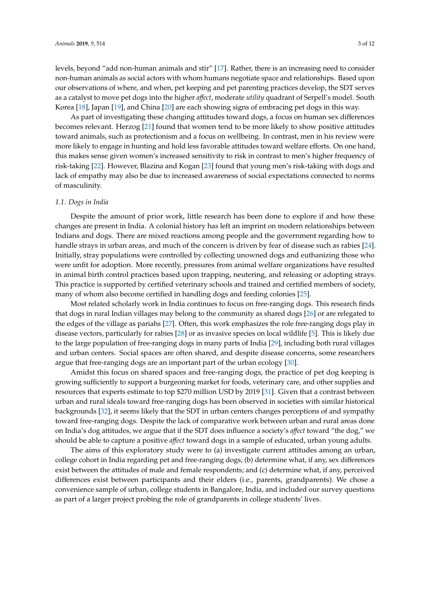levels, beyond "add non-human animals and stir" [\[17\]](#page-11-14). Rather, there is an increasing need to consider non-human animals as social actors with whom humans negotiate space and relationships. Based upon our observations of where, and when, pet keeping and pet parenting practices develop, the SDT serves as a catalyst to move pet dogs into the higher *a*ff*ect*, moderate *utility* quadrant of Serpell's model. South Korea [\[18\]](#page-11-15), Japan [\[19\]](#page-11-16), and China [\[20\]](#page-11-17) are each showing signs of embracing pet dogs in this way.

As part of investigating these changing attitudes toward dogs, a focus on human sex differences becomes relevant. Herzog [\[21\]](#page-11-18) found that women tend to be more likely to show positive attitudes toward animals, such as protectionism and a focus on wellbeing. In contrast, men in his review were more likely to engage in hunting and hold less favorable attitudes toward welfare efforts. On one hand, this makes sense given women's increased sensitivity to risk in contrast to men's higher frequency of risk-taking [\[22\]](#page-11-19). However, Blazina and Kogan [\[23\]](#page-11-20) found that young men's risk-taking with dogs and lack of empathy may also be due to increased awareness of social expectations connected to norms of masculinity.

#### *1.1. Dogs in India*

Despite the amount of prior work, little research has been done to explore if and how these changes are present in India. A colonial history has left an imprint on modern relationships between Indians and dogs. There are mixed reactions among people and the government regarding how to handle strays in urban areas, and much of the concern is driven by fear of disease such as rabies [\[24\]](#page-11-21). Initially, stray populations were controlled by collecting unowned dogs and euthanizing those who were unfit for adoption. More recently, pressures from animal welfare organizations have resulted in animal birth control practices based upon trapping, neutering, and releasing or adopting strays. This practice is supported by certified veterinary schools and trained and certified members of society, many of whom also become certified in handling dogs and feeding colonies [\[25\]](#page-11-22).

Most related scholarly work in India continues to focus on free-ranging dogs. This research finds that dogs in rural Indian villages may belong to the community as shared dogs [\[26\]](#page-11-23) or are relegated to the edges of the village as pariahs [\[27\]](#page-12-0). Often, this work emphasizes the role free-ranging dogs play in disease vectors, particularly for rabies [\[28\]](#page-12-1) or as invasive species on local wildlife [\[5\]](#page-11-4). This is likely due to the large population of free-ranging dogs in many parts of India [\[29\]](#page-12-2), including both rural villages and urban centers. Social spaces are often shared, and despite disease concerns, some researchers argue that free-ranging dogs are an important part of the urban ecology [\[30\]](#page-12-3).

Amidst this focus on shared spaces and free-ranging dogs, the practice of pet dog keeping is growing sufficiently to support a burgeoning market for foods, veterinary care, and other supplies and resources that experts estimate to top \$270 million USD by 2019 [\[31\]](#page-12-4). Given that a contrast between urban and rural ideals toward free-ranging dogs has been observed in societies with similar historical backgrounds [\[32\]](#page-12-5), it seems likely that the SDT in urban centers changes perceptions of and sympathy toward free-ranging dogs. Despite the lack of comparative work between urban and rural areas done on India's dog attitudes, we argue that if the SDT does influence a society's *a*ff*ect* toward "the dog," we should be able to capture a positive *a*ff*ect* toward dogs in a sample of educated, urban young adults.

The aims of this exploratory study were to (a) investigate current attitudes among an urban, college cohort in India regarding pet and free-ranging dogs; (b) determine what, if any, sex differences exist between the attitudes of male and female respondents; and (c) determine what, if any, perceived differences exist between participants and their elders (i.e., parents, grandparents). We chose a convenience sample of urban, college students in Bangalore, India, and included our survey questions as part of a larger project probing the role of grandparents in college students' lives.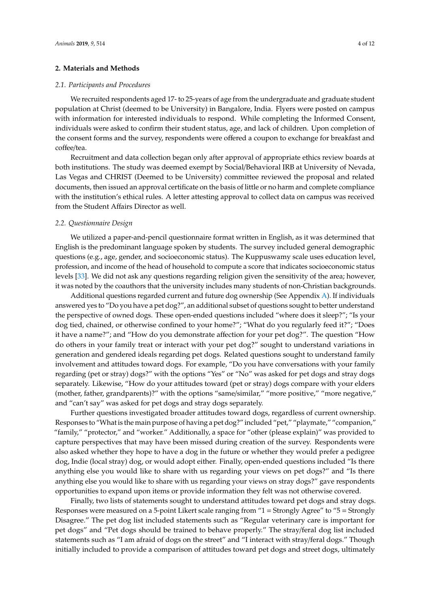#### **2. Materials and Methods**

#### *2.1. Participants and Procedures*

We recruited respondents aged 17- to 25-years of age from the undergraduate and graduate student population at Christ (deemed to be University) in Bangalore, India. Flyers were posted on campus with information for interested individuals to respond. While completing the Informed Consent, individuals were asked to confirm their student status, age, and lack of children. Upon completion of the consent forms and the survey, respondents were offered a coupon to exchange for breakfast and coffee/tea.

Recruitment and data collection began only after approval of appropriate ethics review boards at both institutions. The study was deemed exempt by Social/Behavioral IRB at University of Nevada, Las Vegas and CHRIST (Deemed to be University) committee reviewed the proposal and related documents, then issued an approval certificate on the basis of little or no harm and complete compliance with the institution's ethical rules. A letter attesting approval to collect data on campus was received from the Student Affairs Director as well.

#### *2.2. Questionnaire Design*

We utilized a paper-and-pencil questionnaire format written in English, as it was determined that English is the predominant language spoken by students. The survey included general demographic questions (e.g., age, gender, and socioeconomic status). The Kuppuswamy scale uses education level, profession, and income of the head of household to compute a score that indicates socioeconomic status levels [\[33\]](#page-12-6). We did not ask any questions regarding religion given the sensitivity of the area; however, it was noted by the coauthors that the university includes many students of non-Christian backgrounds.

Additional questions regarded current and future dog ownership (See Appendix [A\)](#page-10-0). If individuals answered yes to "Do you have a pet dog?", an additional subset of questions sought to better understand the perspective of owned dogs. These open-ended questions included "where does it sleep?"; "Is your dog tied, chained, or otherwise confined to your home?"; "What do you regularly feed it?"; "Does it have a name?"; and "How do you demonstrate affection for your pet dog?". The question "How do others in your family treat or interact with your pet dog?" sought to understand variations in generation and gendered ideals regarding pet dogs. Related questions sought to understand family involvement and attitudes toward dogs. For example, "Do you have conversations with your family regarding (pet or stray) dogs?" with the options "Yes" or "No" was asked for pet dogs and stray dogs separately. Likewise, "How do your attitudes toward (pet or stray) dogs compare with your elders (mother, father, grandparents)?" with the options "same/similar," "more positive," "more negative," and "can't say" was asked for pet dogs and stray dogs separately.

Further questions investigated broader attitudes toward dogs, regardless of current ownership. Responses to "What is the main purpose of having a pet dog?" included "pet," "playmate," "companion," "family," "protector," and "worker." Additionally, a space for "other (please explain)" was provided to capture perspectives that may have been missed during creation of the survey. Respondents were also asked whether they hope to have a dog in the future or whether they would prefer a pedigree dog, Indie (local stray) dog, or would adopt either. Finally, open-ended questions included "Is there anything else you would like to share with us regarding your views on pet dogs?" and "Is there anything else you would like to share with us regarding your views on stray dogs?" gave respondents opportunities to expand upon items or provide information they felt was not otherwise covered.

Finally, two lists of statements sought to understand attitudes toward pet dogs and stray dogs. Responses were measured on a 5-point Likert scale ranging from "1 = Strongly Agree" to "5 = Strongly Disagree." The pet dog list included statements such as "Regular veterinary care is important for pet dogs" and "Pet dogs should be trained to behave properly." The stray/feral dog list included statements such as "I am afraid of dogs on the street" and "I interact with stray/feral dogs." Though initially included to provide a comparison of attitudes toward pet dogs and street dogs, ultimately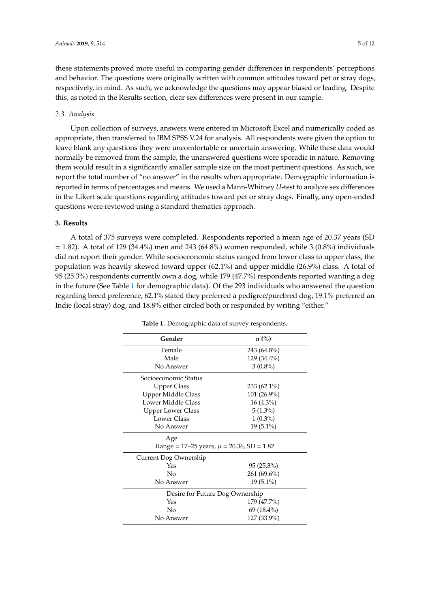these statements proved more useful in comparing gender differences in respondents' perceptions and behavior. The questions were originally written with common attitudes toward pet or stray dogs, respectively, in mind. As such, we acknowledge the questions may appear biased or leading. Despite this, as noted in the Results section, clear sex differences were present in our sample.

#### *2.3. Analysis*

Upon collection of surveys, answers were entered in Microsoft Excel and numerically coded as appropriate, then transferred to IBM SPSS V.24 for analysis. All respondents were given the option to leave blank any questions they were uncomfortable or uncertain answering. While these data would normally be removed from the sample, the unanswered questions were sporadic in nature. Removing them would result in a significantly smaller sample size on the most pertinent questions. As such, we report the total number of "no answer" in the results when appropriate. Demographic information is reported in terms of percentages and means. We used a Mann-Whitney *U*-test to analyze sex differences in the Likert scale questions regarding attitudes toward pet or stray dogs. Finally, any open-ended questions were reviewed using a standard thematics approach.

#### **3. Results**

A total of 375 surveys were completed. Respondents reported a mean age of 20.37 years (SD  $= 1.82$ ). A total of 129 (34.4%) men and 243 (64.8%) women responded, while 3 (0.8%) individuals did not report their gender. While socioeconomic status ranged from lower class to upper class, the population was heavily skewed toward upper (62.1%) and upper middle (26.9%) class. A total of 95 (25.3%) respondents currently own a dog, while 179 (47.7%) respondents reported wanting a dog in the future (See Table [1](#page-6-0) for demographic data). Of the 293 individuals who answered the question regarding breed preference, 62.1% stated they preferred a pedigree/purebred dog, 19.1% preferred an Indie (local stray) dog, and 18.8% either circled both or responded by writing "either."

| Gender                                           | $n\ (\%)$     |  |  |
|--------------------------------------------------|---------------|--|--|
| Female                                           | 243 (64.8%)   |  |  |
| Male                                             | 129 (34.4%)   |  |  |
| No Answer                                        | $3(0.8\%)$    |  |  |
| Socioeconomic Status                             |               |  |  |
| <b>Upper Class</b>                               | $233(62.1\%)$ |  |  |
| <b>Upper Middle Class</b>                        | 101 (26.9%)   |  |  |
| Lower Middle Class                               | $16(4.3\%)$   |  |  |
| <b>Upper Lower Class</b>                         | $5(1.3\%)$    |  |  |
| Lower Class                                      | $1(0.3\%)$    |  |  |
| No Answer                                        | $19(5.1\%)$   |  |  |
| Age                                              |               |  |  |
| Range = $17-25$ years, $\mu = 20.36$ , SD = 1.82 |               |  |  |
| Current Dog Ownership                            |               |  |  |
| Yes                                              | $95(25.3\%)$  |  |  |
| No                                               | 261 (69.6%)   |  |  |
| No Answer                                        | $19(5.1\%)$   |  |  |
| Desire for Future Dog Ownership                  |               |  |  |
| Yes                                              | 179 (47.7%)   |  |  |
| No                                               | 69 (18.4%)    |  |  |
| No Answer                                        | 127 (33.9%)   |  |  |

**Table 1.** Demographic data of survey respondents.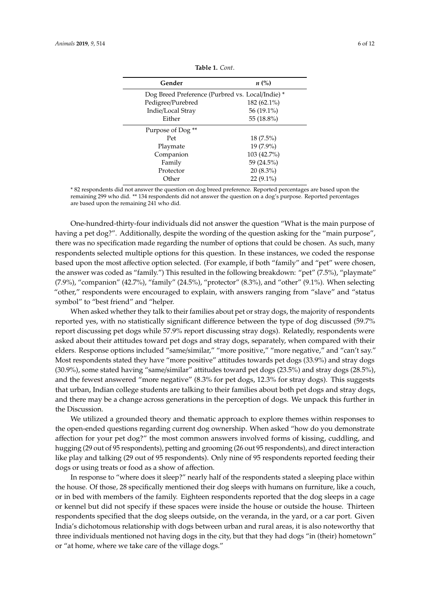|  | 6 OI 1. |  |
|--|---------|--|
|  |         |  |
|  |         |  |

<span id="page-6-0"></span>

| Gender                                           | $n\ (\%)$     |  |  |
|--------------------------------------------------|---------------|--|--|
| Dog Breed Preference (Purbred vs. Local/Indie) * |               |  |  |
| Pedigree/Purebred                                | $182(62.1\%)$ |  |  |
| Indie/Local Stray                                | 56 (19.1%)    |  |  |
| Either                                           | 55 (18.8%)    |  |  |
| Purpose of Dog <sup>**</sup>                     |               |  |  |
| Pet                                              | $18(7.5\%)$   |  |  |
| Playmate                                         | 19 (7.9%)     |  |  |
| Companion                                        | 103 (42.7%)   |  |  |
| Family                                           | 59 (24.5%)    |  |  |
| Protector                                        | $20(8.3\%)$   |  |  |
| Other                                            | $22(9.1\%)$   |  |  |
|                                                  |               |  |  |

**Table 1.** *Cont*.

\* 82 respondents did not answer the question on dog breed preference. Reported percentages are based upon the remaining 299 who did. \*\* 134 respondents did not answer the question on a dog's purpose. Reported percentages are based upon the remaining 241 who did.

One-hundred-thirty-four individuals did not answer the question "What is the main purpose of having a pet dog?". Additionally, despite the wording of the question asking for the "main purpose", there was no specification made regarding the number of options that could be chosen. As such, many respondents selected multiple options for this question. In these instances, we coded the response based upon the most affective option selected. (For example, if both "family" and "pet" were chosen, the answer was coded as "family.") This resulted in the following breakdown: "pet" (7.5%), "playmate" (7.9%), "companion" (42.7%), "family" (24.5%), "protector" (8.3%), and "other" (9.1%). When selecting "other," respondents were encouraged to explain, with answers ranging from "slave" and "status symbol" to "best friend" and "helper.

When asked whether they talk to their families about pet or stray dogs, the majority of respondents reported yes, with no statistically significant difference between the type of dog discussed (59.7% report discussing pet dogs while 57.9% report discussing stray dogs). Relatedly, respondents were asked about their attitudes toward pet dogs and stray dogs, separately, when compared with their elders. Response options included "same/similar," "more positive," "more negative," and "can't say." Most respondents stated they have "more positive" attitudes towards pet dogs (33.9%) and stray dogs (30.9%), some stated having "same/similar" attitudes toward pet dogs (23.5%) and stray dogs (28.5%), and the fewest answered "more negative" (8.3% for pet dogs, 12.3% for stray dogs). This suggests that urban, Indian college students are talking to their families about both pet dogs and stray dogs, and there may be a change across generations in the perception of dogs. We unpack this further in the Discussion.

We utilized a grounded theory and thematic approach to explore themes within responses to the open-ended questions regarding current dog ownership. When asked "how do you demonstrate affection for your pet dog?" the most common answers involved forms of kissing, cuddling, and hugging (29 out of 95 respondents), petting and grooming (26 out 95 respondents), and direct interaction like play and talking (29 out of 95 respondents). Only nine of 95 respondents reported feeding their dogs or using treats or food as a show of affection.

In response to "where does it sleep?" nearly half of the respondents stated a sleeping place within the house. Of those, 28 specifically mentioned their dog sleeps with humans on furniture, like a couch, or in bed with members of the family. Eighteen respondents reported that the dog sleeps in a cage or kennel but did not specify if these spaces were inside the house or outside the house. Thirteen respondents specified that the dog sleeps outside, on the veranda, in the yard, or a car port. Given India's dichotomous relationship with dogs between urban and rural areas, it is also noteworthy that three individuals mentioned not having dogs in the city, but that they had dogs "in (their) hometown" or "at home, where we take care of the village dogs."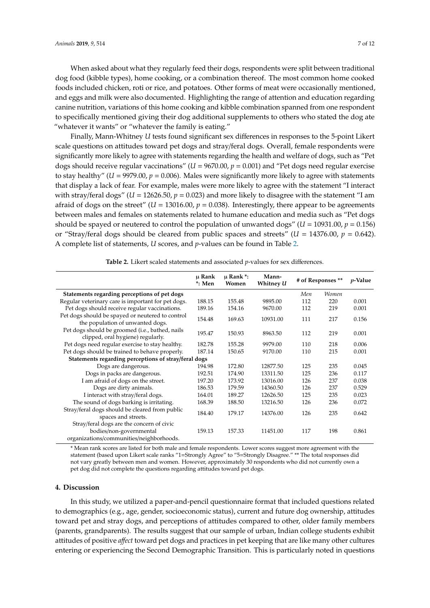When asked about what they regularly feed their dogs, respondents were split between traditional dog food (kibble types), home cooking, or a combination thereof. The most common home cooked foods included chicken, roti or rice, and potatoes. Other forms of meat were occasionally mentioned, and eggs and milk were also documented. Highlighting the range of attention and education regarding canine nutrition, variations of this home cooking and kibble combination spanned from one respondent to specifically mentioned giving their dog additional supplements to others who stated the dog ate "whatever it wants" or "whatever the family is eating."

Finally, Mann-Whitney *U* tests found significant sex differences in responses to the 5-point Likert scale questions on attitudes toward pet dogs and stray/feral dogs. Overall, female respondents were significantly more likely to agree with statements regarding the health and welfare of dogs, such as "Pet dogs should receive regular vaccinations" (*U* = 9670.00, *p* = 0.001) and "Pet dogs need regular exercise to stay healthy" ( $U = 9979.00$ ,  $p = 0.006$ ). Males were significantly more likely to agree with statements that display a lack of fear. For example, males were more likely to agree with the statement "I interact with stray/feral dogs" ( $U = 12626.50$ ,  $p = 0.023$ ) and more likely to disagree with the statement "I am afraid of dogs on the street" ( $U = 13016.00$ ,  $p = 0.038$ ). Interestingly, there appear to be agreements between males and females on statements related to humane education and media such as "Pet dogs should be spayed or neutered to control the population of unwanted dogs" ( $U = 10931.00$ ,  $p = 0.156$ ) or "Stray/feral dogs should be cleared from public spaces and streets" ( $U = 14376.00$ ,  $p = 0.642$ ). A complete list of statements, *U* scores, and *p*-values can be found in Table [2.](#page-7-0)

<span id="page-7-0"></span>

|                                                                                                                  | µ Rank<br>*: Men | $\mu$ Rank $\cdot$ :<br>Women | Mann-<br>Whitney U |     | # of Responses ** | <i>p</i> -Value |
|------------------------------------------------------------------------------------------------------------------|------------------|-------------------------------|--------------------|-----|-------------------|-----------------|
| Statements regarding perceptions of pet dogs                                                                     |                  |                               |                    | Men | Women             |                 |
| Regular veterinary care is important for pet dogs.                                                               | 188.15           | 155.48                        | 9895.00            | 112 | 220               | 0.001           |
| Pet dogs should receive regular vaccinations.                                                                    | 189.16           | 154.16                        | 9670.00            | 112 | 219               | 0.001           |
| Pet dogs should be spayed or neutered to control<br>the population of unwanted dogs.                             | 154.48           | 169.63                        | 10931.00           | 111 | 217               | 0.156           |
| Pet dogs should be groomed (i.e., bathed, nails<br>clipped, oral hygiene) regularly.                             | 195.47           | 150.93                        | 8963.50            | 112 | 219               | 0.001           |
| Pet dogs need regular exercise to stay healthy.                                                                  | 182.78           | 155.28                        | 9979.00            | 110 | 218               | 0.006           |
| Pet dogs should be trained to behave properly.                                                                   | 187.14           | 150.65                        | 9170.00            | 110 | 215               | 0.001           |
| Statements regarding perceptions of stray/feral dogs                                                             |                  |                               |                    |     |                   |                 |
| Dogs are dangerous.                                                                                              | 194.98           | 172.80                        | 12877.50           | 125 | 235               | 0.045           |
| Dogs in packs are dangerous.                                                                                     | 192.51           | 174.90                        | 13311.50           | 125 | 236               | 0.117           |
| I am afraid of dogs on the street.                                                                               | 197.20           | 173.92                        | 13016.00           | 126 | 237               | 0.038           |
| Dogs are dirty animals.                                                                                          | 186.53           | 179.59                        | 14360.50           | 126 | 237               | 0.529           |
| I interact with stray/feral dogs.                                                                                | 164.01           | 189.27                        | 12626.50           | 125 | 235               | 0.023           |
| The sound of dogs barking is irritating.                                                                         | 168.39           | 188.50                        | 13216.50           | 126 | 236               | 0.072           |
| Stray/feral dogs should be cleared from public<br>spaces and streets.                                            | 184.40           | 179.17                        | 14376.00           | 126 | 235               | 0.642           |
| Stray/feral dogs are the concern of civic<br>bodies/non-governmental<br>organizations/communities/neighborhoods. | 159.13           | 157.33                        | 11451.00           | 117 | 198               | 0.861           |

**Table 2.** Likert scaled statements and associated *p*-values for sex differences.

\* Mean rank scores are listed for both male and female respondents. Lower scores suggest more agreement with the statement (based upon Likert scale ranks "1=Strongly Agree" to "5=Strongly Disagree." \*\* The total responses did not vary greatly between men and women. However, approximately 30 respondents who did not currently own a pet dog did not complete the questions regarding attitudes toward pet dogs.

#### **4. Discussion**

In this study, we utilized a paper-and-pencil questionnaire format that included questions related to demographics (e.g., age, gender, socioeconomic status), current and future dog ownership, attitudes toward pet and stray dogs, and perceptions of attitudes compared to other, older family members (parents, grandparents). The results suggest that our sample of urban, Indian college students exhibit attitudes of positive *a*ff*ect* toward pet dogs and practices in pet keeping that are like many other cultures entering or experiencing the Second Demographic Transition. This is particularly noted in questions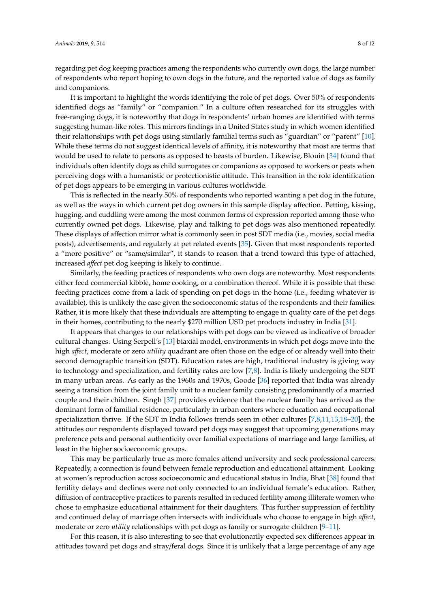regarding pet dog keeping practices among the respondents who currently own dogs, the large number of respondents who report hoping to own dogs in the future, and the reported value of dogs as family and companions.

It is important to highlight the words identifying the role of pet dogs. Over 50% of respondents identified dogs as "family" or "companion." In a culture often researched for its struggles with free-ranging dogs, it is noteworthy that dogs in respondents' urban homes are identified with terms suggesting human-like roles. This mirrors findings in a United States study in which women identified their relationships with pet dogs using similarly familial terms such as "guardian" or "parent" [\[10\]](#page-11-24). While these terms do not suggest identical levels of affinity, it is noteworthy that most are terms that would be used to relate to persons as opposed to beasts of burden. Likewise, Blouin [\[34\]](#page-12-7) found that individuals often identify dogs as child surrogates or companions as opposed to workers or pests when perceiving dogs with a humanistic or protectionistic attitude. This transition in the role identification of pet dogs appears to be emerging in various cultures worldwide.

This is reflected in the nearly 50% of respondents who reported wanting a pet dog in the future, as well as the ways in which current pet dog owners in this sample display affection. Petting, kissing, hugging, and cuddling were among the most common forms of expression reported among those who currently owned pet dogs. Likewise, play and talking to pet dogs was also mentioned repeatedly. These displays of affection mirror what is commonly seen in post SDT media (i.e., movies, social media posts), advertisements, and regularly at pet related events [\[35\]](#page-12-8). Given that most respondents reported a "more positive" or "same/similar", it stands to reason that a trend toward this type of attached, increased *a*ff*ect* pet dog keeping is likely to continue.

Similarly, the feeding practices of respondents who own dogs are noteworthy. Most respondents either feed commercial kibble, home cooking, or a combination thereof. While it is possible that these feeding practices come from a lack of spending on pet dogs in the home (i.e., feeding whatever is available), this is unlikely the case given the socioeconomic status of the respondents and their families. Rather, it is more likely that these individuals are attempting to engage in quality care of the pet dogs in their homes, contributing to the nearly \$270 million USD pet products industry in India [\[31\]](#page-12-4).

It appears that changes to our relationships with pet dogs can be viewed as indicative of broader cultural changes. Using Serpell's [\[13\]](#page-11-10) biaxial model, environments in which pet dogs move into the high *a*ff*ect*, moderate or zero *utility* quadrant are often those on the edge of or already well into their second demographic transition (SDT). Education rates are high, traditional industry is giving way to technology and specialization, and fertility rates are low [\[7,](#page-11-6)[8\]](#page-11-7). India is likely undergoing the SDT in many urban areas. As early as the 1960s and 1970s, Goode [\[36\]](#page-12-9) reported that India was already seeing a transition from the joint family unit to a nuclear family consisting predominantly of a married couple and their children. Singh [\[37\]](#page-12-10) provides evidence that the nuclear family has arrived as the dominant form of familial residence, particularly in urban centers where education and occupational specialization thrive. If the SDT in India follows trends seen in other cultures [\[7](#page-11-6)[,8](#page-11-7)[,11](#page-11-25)[,13](#page-11-10)[,18–](#page-11-15)[20\]](#page-11-17), the attitudes our respondents displayed toward pet dogs may suggest that upcoming generations may preference pets and personal authenticity over familial expectations of marriage and large families, at least in the higher socioeconomic groups.

This may be particularly true as more females attend university and seek professional careers. Repeatedly, a connection is found between female reproduction and educational attainment. Looking at women's reproduction across socioeconomic and educational status in India, Bhat [\[38\]](#page-12-11) found that fertility delays and declines were not only connected to an individual female's education. Rather, diffusion of contraceptive practices to parents resulted in reduced fertility among illiterate women who chose to emphasize educational attainment for their daughters. This further suppression of fertility and continued delay of marriage often intersects with individuals who choose to engage in high *a*ff*ect*, moderate or zero *utility* relationships with pet dogs as family or surrogate children [\[9–](#page-11-8)[11\]](#page-11-25).

For this reason, it is also interesting to see that evolutionarily expected sex differences appear in attitudes toward pet dogs and stray/feral dogs. Since it is unlikely that a large percentage of any age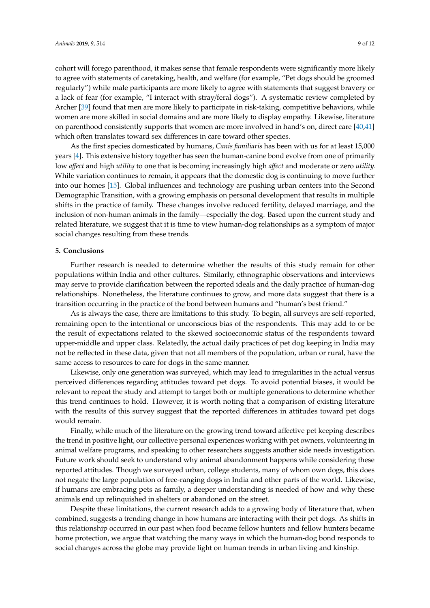cohort will forego parenthood, it makes sense that female respondents were significantly more likely to agree with statements of caretaking, health, and welfare (for example, "Pet dogs should be groomed regularly") while male participants are more likely to agree with statements that suggest bravery or a lack of fear (for example, "I interact with stray/feral dogs"). A systematic review completed by Archer [\[39\]](#page-12-12) found that men are more likely to participate in risk-taking, competitive behaviors, while women are more skilled in social domains and are more likely to display empathy. Likewise, literature on parenthood consistently supports that women are more involved in hand's on, direct care [\[40](#page-12-13)[,41\]](#page-12-14) which often translates toward sex differences in care toward other species.

As the first species domesticated by humans, *Canis familiaris* has been with us for at least 15,000 years [\[4\]](#page-11-3). This extensive history together has seen the human-canine bond evolve from one of primarily low *a*ff*ect* and high *utility* to one that is becoming increasingly high *a*ff*ect* and moderate or zero *utility*. While variation continues to remain, it appears that the domestic dog is continuing to move further into our homes [\[15\]](#page-11-12). Global influences and technology are pushing urban centers into the Second Demographic Transition, with a growing emphasis on personal development that results in multiple shifts in the practice of family. These changes involve reduced fertility, delayed marriage, and the inclusion of non-human animals in the family—especially the dog. Based upon the current study and related literature, we suggest that it is time to view human-dog relationships as a symptom of major social changes resulting from these trends.

#### **5. Conclusions**

Further research is needed to determine whether the results of this study remain for other populations within India and other cultures. Similarly, ethnographic observations and interviews may serve to provide clarification between the reported ideals and the daily practice of human-dog relationships. Nonetheless, the literature continues to grow, and more data suggest that there is a transition occurring in the practice of the bond between humans and "human's best friend."

As is always the case, there are limitations to this study. To begin, all surveys are self-reported, remaining open to the intentional or unconscious bias of the respondents. This may add to or be the result of expectations related to the skewed socioeconomic status of the respondents toward upper-middle and upper class. Relatedly, the actual daily practices of pet dog keeping in India may not be reflected in these data, given that not all members of the population, urban or rural, have the same access to resources to care for dogs in the same manner.

Likewise, only one generation was surveyed, which may lead to irregularities in the actual versus perceived differences regarding attitudes toward pet dogs. To avoid potential biases, it would be relevant to repeat the study and attempt to target both or multiple generations to determine whether this trend continues to hold. However, it is worth noting that a comparison of existing literature with the results of this survey suggest that the reported differences in attitudes toward pet dogs would remain.

Finally, while much of the literature on the growing trend toward affective pet keeping describes the trend in positive light, our collective personal experiences working with pet owners, volunteering in animal welfare programs, and speaking to other researchers suggests another side needs investigation. Future work should seek to understand why animal abandonment happens while considering these reported attitudes. Though we surveyed urban, college students, many of whom own dogs, this does not negate the large population of free-ranging dogs in India and other parts of the world. Likewise, if humans are embracing pets as family, a deeper understanding is needed of how and why these animals end up relinquished in shelters or abandoned on the street.

Despite these limitations, the current research adds to a growing body of literature that, when combined, suggests a trending change in how humans are interacting with their pet dogs. As shifts in this relationship occurred in our past when food became fellow hunters and fellow hunters became home protection, we argue that watching the many ways in which the human-dog bond responds to social changes across the globe may provide light on human trends in urban living and kinship.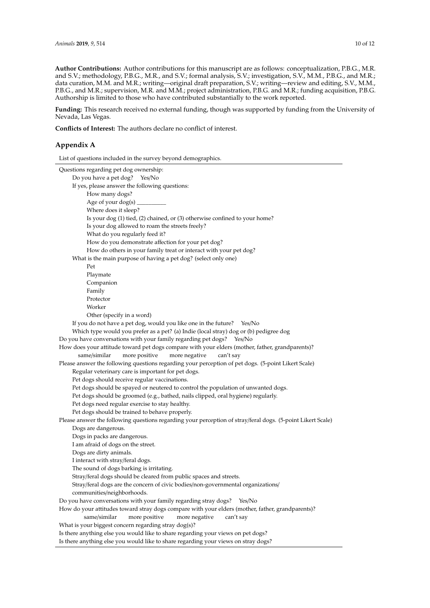**Author Contributions:** Author contributions for this manuscript are as follows: conceptualization, P.B.G., M.R. and S.V.; methodology, P.B.G., M.R., and S.V.; formal analysis, S.V.; investigation, S.V., M.M., P.B.G., and M.R.; data curation, M.M. and M.R.; writing—original draft preparation, S.V.; writing—review and editing, S.V., M.M., P.B.G., and M.R.; supervision, M.R. and M.M.; project administration, P.B.G. and M.R.; funding acquisition, P.B.G. Authorship is limited to those who have contributed substantially to the work reported.

**Funding:** This research received no external funding, though was supported by funding from the University of Nevada, Las Vegas.

**Conflicts of Interest:** The authors declare no conflict of interest.

#### <span id="page-10-0"></span>**Appendix A**

List of questions included in the survey beyond demographics.

| Questions regarding pet dog ownership:                                                                      |
|-------------------------------------------------------------------------------------------------------------|
| Do you have a pet dog? Yes/No                                                                               |
| If yes, please answer the following questions:                                                              |
| How many dogs?                                                                                              |
| Age of your dog(s) $\_\_$                                                                                   |
| Where does it sleep?                                                                                        |
| Is your dog (1) tied, (2) chained, or (3) otherwise confined to your home?                                  |
| Is your dog allowed to roam the streets freely?                                                             |
| What do you regularly feed it?                                                                              |
| How do you demonstrate affection for your pet dog?                                                          |
| How do others in your family treat or interact with your pet dog?                                           |
| What is the main purpose of having a pet dog? (select only one)                                             |
| Pet                                                                                                         |
| Playmate                                                                                                    |
| Companion                                                                                                   |
| Family                                                                                                      |
| Protector                                                                                                   |
| Worker                                                                                                      |
| Other (specify in a word)                                                                                   |
| If you do not have a pet dog, would you like one in the future?<br>Yes/No                                   |
| Which type would you prefer as a pet? (a) Indie (local stray) dog or (b) pedigree dog                       |
| Do you have conversations with your family regarding pet dogs?<br>Yes/No                                    |
| How does your attitude toward pet dogs compare with your elders (mother, father, grandparents)?             |
| more positive<br>same/similar<br>more negative<br>can't say                                                 |
| Please answer the following questions regarding your perception of pet dogs. (5-point Likert Scale)         |
| Regular veterinary care is important for pet dogs.                                                          |
| Pet dogs should receive regular vaccinations.                                                               |
| Pet dogs should be spayed or neutered to control the population of unwanted dogs.                           |
| Pet dogs should be groomed (e.g., bathed, nails clipped, oral hygiene) regularly.                           |
| Pet dogs need regular exercise to stay healthy.                                                             |
| Pet dogs should be trained to behave properly.                                                              |
| Please answer the following questions regarding your perception of stray/feral dogs. (5-point Likert Scale) |
| Dogs are dangerous.                                                                                         |
| Dogs in packs are dangerous.                                                                                |
| I am afraid of dogs on the street.                                                                          |
| Dogs are dirty animals.                                                                                     |
| I interact with stray/feral dogs.                                                                           |
| The sound of dogs barking is irritating.                                                                    |
| Stray/feral dogs should be cleared from public spaces and streets.                                          |
| Stray/feral dogs are the concern of civic bodies/non-governmental organizations/                            |
| communities/neighborhoods.                                                                                  |
| Do you have conversations with your family regarding stray dogs?<br>Yes/No                                  |
| How do your attitudes toward stray dogs compare with your elders (mother, father, grandparents)?            |
| same/similar<br>more positive<br>more negative<br>can't say                                                 |
| What is your biggest concern regarding stray dog(s)?                                                        |
| Is there anything else you would like to share regarding your views on pet dogs?                            |
| Is there anything else you would like to share regarding your views on stray dogs?                          |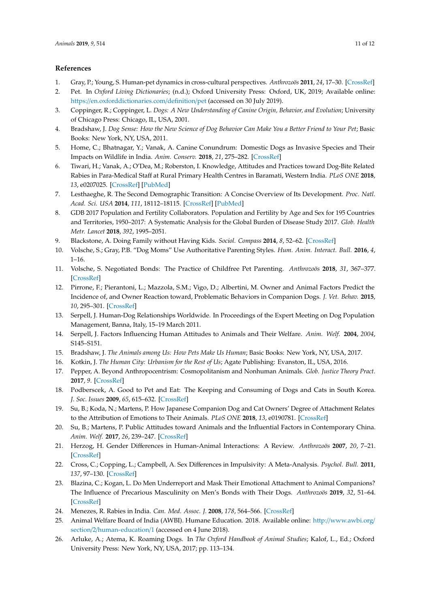### **References**

- <span id="page-11-0"></span>1. Gray, P.; Young, S. Human-pet dynamics in cross-cultural perspectives. *Anthrozoös* **2011**, *24*, 17–30. [\[CrossRef\]](http://dx.doi.org/10.2752/175303711X12923300467285)
- <span id="page-11-1"></span>2. Pet. In *Oxford Living Dictionaries*; (n.d.); Oxford University Press: Oxford, UK, 2019; Available online: https://[en.oxforddictionaries.com](https://en.oxforddictionaries.com/definition/pet)/definition/pet (accessed on 30 July 2019).
- <span id="page-11-2"></span>3. Coppinger, R.; Coppinger, L. *Dogs: A New Understanding of Canine Origin, Behavior, and Evolution*; University of Chicago Press: Chicago, IL, USA, 2001.
- <span id="page-11-3"></span>4. Bradshaw, J. *Dog Sense: How the New Science of Dog Behavior Can Make You a Better Friend to Your Pet*; Basic Books: New York, NY, USA, 2011.
- <span id="page-11-4"></span>5. Home, C.; Bhatnagar, Y.; Vanak, A. Canine Conundrum: Domestic Dogs as Invasive Species and Their Impacts on Wildlife in India. *Anim. Conserv.* **2018**, *21*, 275–282. [\[CrossRef\]](http://dx.doi.org/10.1111/acv.12389)
- <span id="page-11-5"></span>6. Tiwari, H.; Vanak, A.; O'Dea, M.; Roberston, I. Knowledge, Attitudes and Practices toward Dog-Bite Related Rabies in Para-Medical Staff at Rural Primary Health Centres in Baramati, Western India. *PLoS ONE* **2018**, *13*, e0207025. [\[CrossRef\]](http://dx.doi.org/10.1371/journal.pone.0207025) [\[PubMed\]](http://www.ncbi.nlm.nih.gov/pubmed/30444871)
- <span id="page-11-6"></span>7. Lesthaeghe, R. The Second Demographic Transition: A Concise Overview of Its Development. *Proc. Natl. Acad. Sci. USA* **2014**, *111*, 18112–18115. [\[CrossRef\]](http://dx.doi.org/10.1073/pnas.1420441111) [\[PubMed\]](http://www.ncbi.nlm.nih.gov/pubmed/25453112)
- <span id="page-11-7"></span>8. GDB 2017 Population and Fertility Collaborators. Population and Fertility by Age and Sex for 195 Countries and Territories, 1950–2017: A Systematic Analysis for the Global Burden of Disease Study 2017. *Glob. Health Metr. Lancet* **2018**, *392*, 1995–2051.
- <span id="page-11-8"></span>9. Blackstone, A. Doing Family without Having Kids. *Sociol. Compass* **2014**, *8*, 52–62. [\[CrossRef\]](http://dx.doi.org/10.1111/soc4.12102)
- <span id="page-11-24"></span>10. Volsche, S.; Gray, P.B. "Dog Moms" Use Authoritative Parenting Styles. *Hum. Anim. Interact. Bull.* **2016**, *4*, 1–16.
- <span id="page-11-25"></span>11. Volsche, S. Negotiated Bonds: The Practice of Childfree Pet Parenting. *Anthrozoös* **2018**, *31*, 367–377. [\[CrossRef\]](http://dx.doi.org/10.1080/08927936.2018.1455470)
- <span id="page-11-9"></span>12. Pirrone, F.; Pierantoni, L.; Mazzola, S.M.; Vigo, D.; Albertini, M. Owner and Animal Factors Predict the Incidence of, and Owner Reaction toward, Problematic Behaviors in Companion Dogs. *J. Vet. Behav.* **2015**, *10*, 295–301. [\[CrossRef\]](http://dx.doi.org/10.1016/j.jveb.2015.03.004)
- <span id="page-11-10"></span>13. Serpell, J. Human-Dog Relationships Worldwide. In Proceedings of the Expert Meeting on Dog Population Management, Banna, Italy, 15–19 March 2011.
- <span id="page-11-11"></span>14. Serpell, J. Factors Influencing Human Attitudes to Animals and Their Welfare. *Anim. Welf.* **2004**, *2004*, S145–S151.
- <span id="page-11-12"></span>15. Bradshaw, J. *The Animals among Us: How Pets Make Us Human*; Basic Books: New York, NY, USA, 2017.
- <span id="page-11-13"></span>16. Kotkin, J. *The Human City: Urbanism for the Rest of Us*; Agate Publishing: Evanston, IL, USA, 2016.
- <span id="page-11-14"></span>17. Pepper, A. Beyond Anthropocentrism: Cosmopolitanism and Nonhuman Animals. *Glob. Justice Theory Pract.* **2017**, *9*. [\[CrossRef\]](http://dx.doi.org/10.21248/gjn.9.2.114)
- <span id="page-11-15"></span>18. Podberscek, A. Good to Pet and Eat: The Keeping and Consuming of Dogs and Cats in South Korea. *J. Soc. Issues* **2009**, *65*, 615–632. [\[CrossRef\]](http://dx.doi.org/10.1111/j.1540-4560.2009.01616.x)
- <span id="page-11-16"></span>19. Su, B.; Koda, N.; Martens, P. How Japanese Companion Dog and Cat Owners' Degree of Attachment Relates to the Attribution of Emotions to Their Animals. *PLoS ONE* **2018**, *13*, e0190781. [\[CrossRef\]](http://dx.doi.org/10.1371/journal.pone.0190781)
- <span id="page-11-17"></span>20. Su, B.; Martens, P. Public Attitudes toward Animals and the Influential Factors in Contemporary China. *Anim. Welf.* **2017**, *26*, 239–247. [\[CrossRef\]](http://dx.doi.org/10.7120/09627286.26.2.239)
- <span id="page-11-18"></span>21. Herzog, H. Gender Differences in Human-Animal Interactions: A Review. *Anthrozoös* **2007**, *20*, 7–21. [\[CrossRef\]](http://dx.doi.org/10.2752/089279307780216687)
- <span id="page-11-19"></span>22. Cross, C.; Copping, L.; Campbell, A. Sex Differences in Impulsivity: A Meta-Analysis. *Psychol. Bull.* **2011**, *137*, 97–130. [\[CrossRef\]](http://dx.doi.org/10.1037/a0021591)
- <span id="page-11-20"></span>23. Blazina, C.; Kogan, L. Do Men Underreport and Mask Their Emotional Attachment to Animal Companions? The Influence of Precarious Masculinity on Men's Bonds with Their Dogs. *Anthrozoös* **2019**, *32*, 51–64. [\[CrossRef\]](http://dx.doi.org/10.1080/08927936.2019.1550281)
- <span id="page-11-21"></span>24. Menezes, R. Rabies in India. *Can. Med. Assoc. J.* **2008**, *178*, 564–566. [\[CrossRef\]](http://dx.doi.org/10.1503/cmaj.071488)
- <span id="page-11-22"></span>25. Animal Welfare Board of India (AWBI). Humane Education. 2018. Available online: http://[www.awbi.org](http://www.awbi.org/section/2/human-education/1)/ section/2/[human-education](http://www.awbi.org/section/2/human-education/1)/1 (accessed on 4 June 2018).
- <span id="page-11-23"></span>26. Arluke, A.; Atema, K. Roaming Dogs. In *The Oxford Handbook of Animal Studies*; Kalof, L., Ed.; Oxford University Press: New York, NY, USA, 2017; pp. 113–134.